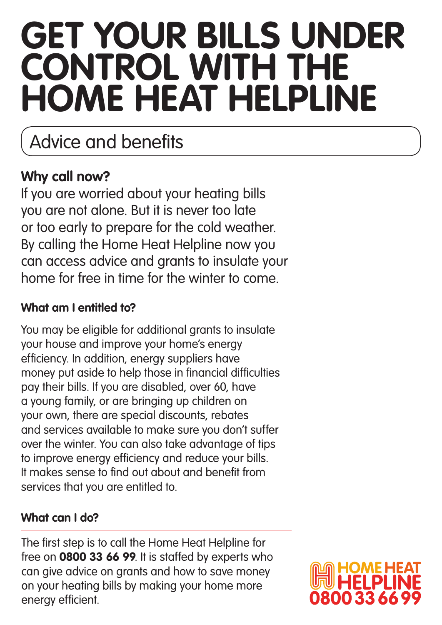# **Get your bills under CONTROL WITH THE Home Heat Helpline**

### Advice and benefits

### **Why call now?**

If you are worried about your heating bills you are not alone. But it is never too late or too early to prepare for the cold weather. By calling the Home Heat Helpline now you can access advice and grants to insulate your home for free in time for the winter to come.

#### **What am I entitled to?**

You may be eligible for additional grants to insulate your house and improve your home's energy efficiency. In addition, energy suppliers have money put aside to help those in financial difficulties pay their bills. If you are disabled, over 60, have a young family, or are bringing up children on your own, there are special discounts, rebates and services available to make sure you don't suffer over the winter. You can also take advantage of tips to improve energy efficiency and reduce your bills. It makes sense to find out about and benefit from services that you are entitled to.

#### **What can I do?**

The first step is to call the Home Heat Helpline for free on **0800 33 66 99**. It is staffed by experts who can give advice on grants and how to save money on your heating bills by making your home more energy efficient.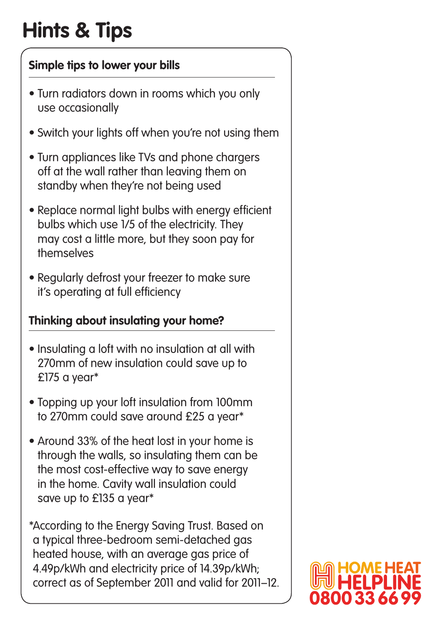# **Hints & Tips**

#### **Simple tips to lower your bills**

- **•** Turn radiators down in rooms which you only use occasionally
- Switch your lights off when you're not using them
- **•** Turn appliances like TVs and phone chargers off at the wall rather than leaving them on standby when they're not being used
- **•** Replace normal light bulbs with energy efficient bulbs which use 1/5 of the electricity. They may cost a little more, but they soon pay for themselves
- **•** Regularly defrost your freezer to make sure it's operating at full efficiency

#### **Thinking about insulating your home?**

- **•** Insulating a loft with no insulation at all with 270mm of new insulation could save up to £175 a year\*
- **•** Topping up your loft insulation from 100mm to 270mm could save around £25 a year\*
- **•** Around 33% of the heat lost in your home is through the walls, so insulating them can be the most cost-effective way to save energy in the home. Cavity wall insulation could save up to £135 a year\*

\*According to the Energy Saving Trust. Based on a typical three-bedroom semi-detached gas heated house, with an average gas price of 4.49p/kWh and electricity price of 14.39p/kWh; correct as of September 2011 and valid for 2011–12.

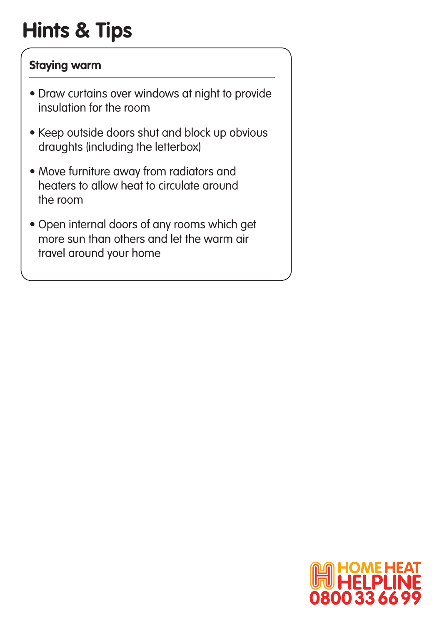## **Hints & Tips**

#### **Staying warm**

- **•** Draw curtains over windows at night to provide insulation for the room
- **•** Keep outside doors shut and block up obvious draughts (including the letterbox)
- **•** Move furniture away from radiators and heaters to allow heat to circulate around the room
- **•** Open internal doors of any rooms which get more sun than others and let the warm air travel around your home